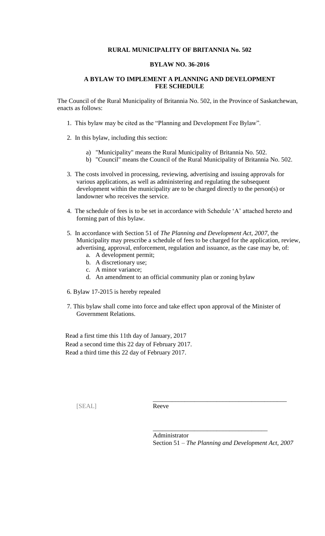## **RURAL MUNICIPALITY OF BRITANNIA No. 502**

## **BYLAW NO. 36-2016**

## **A BYLAW TO IMPLEMENT A PLANNING AND DEVELOPMENT FEE SCHEDULE**

The Council of the Rural Municipality of Britannia No. 502, in the Province of Saskatchewan, enacts as follows:

- 1. This bylaw may be cited as the "Planning and Development Fee Bylaw".
- 2. In this bylaw, including this section:
	- a) "Municipality" means the Rural Municipality of Britannia No. 502.
	- b) "Council" means the Council of the Rural Municipality of Britannia No. 502.
- 3. The costs involved in processing, reviewing, advertising and issuing approvals for various applications, as well as administering and regulating the subsequent development within the municipality are to be charged directly to the person(s) or landowner who receives the service.
- 4. The schedule of fees is to be set in accordance with Schedule 'A' attached hereto and forming part of this bylaw.
- 5. In accordance with Section 51 of *The Planning and Development Act, 2007*, the Municipality may prescribe a schedule of fees to be charged for the application, review, advertising, approval, enforcement, regulation and issuance, as the case may be, of:
	- a. A development permit;
	- b. A discretionary use;
	- c. A minor variance;
	- d. An amendment to an official community plan or zoning bylaw
- 6. Bylaw 17-2015 is hereby repealed
- 7. This bylaw shall come into force and take effect upon approval of the Minister of Government Relations.

 Read a first time this 11th day of January, 2017 Read a second time this 22 day of February 2017. Read a third time this 22 day of February 2017.

[SEAL] Reeve

Administrator Section 51 – *The Planning and Development Act, 2007*

\_\_\_\_\_\_\_\_\_\_\_\_\_\_\_\_\_\_\_\_\_\_\_\_\_\_\_\_\_\_\_\_\_\_\_\_\_\_\_\_\_\_

\_\_\_\_\_\_\_\_\_\_\_\_\_\_\_\_\_\_\_\_\_\_\_\_\_\_\_\_\_\_\_\_\_\_\_\_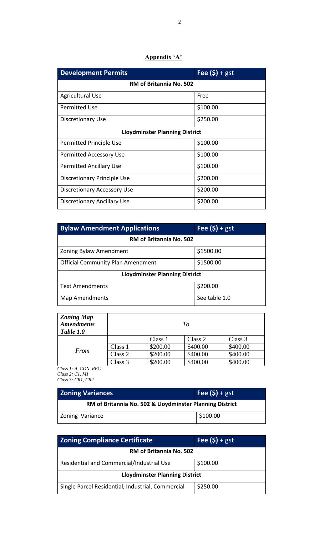## **Appendix 'A'**

| <b>Development Permits</b>            | Fee $(\$)$ + gst |  |
|---------------------------------------|------------------|--|
| <b>RM of Britannia No. 502</b>        |                  |  |
| <b>Agricultural Use</b>               | Free             |  |
| <b>Permitted Use</b>                  | \$100.00         |  |
| Discretionary Use                     | \$250.00         |  |
| <b>Lloydminster Planning District</b> |                  |  |
| Permitted Principle Use               | \$100.00         |  |
| <b>Permitted Accessory Use</b>        | \$100.00         |  |
| <b>Permitted Ancillary Use</b>        | \$100.00         |  |
| Discretionary Principle Use           | \$200.00         |  |
| Discretionary Accessory Use           | \$200.00         |  |
| <b>Discretionary Ancillary Use</b>    | \$200.00         |  |

| <b>Bylaw Amendment Applications</b>      | Fee $(\$)$ + gst |  |
|------------------------------------------|------------------|--|
| RM of Britannia No. 502                  |                  |  |
| Zoning Bylaw Amendment                   | \$1500.00        |  |
| <b>Official Community Plan Amendment</b> | \$1500.00        |  |
| <b>Lloydminster Planning District</b>    |                  |  |
| <b>Text Amendments</b>                   | \$200.00         |  |
| Map Amendments                           | See table 1.0    |  |

| <b>Zoning Map</b><br><b>Amendments</b><br>Table 1.0 |         |          | To       |          |
|-----------------------------------------------------|---------|----------|----------|----------|
|                                                     |         | Class 1  | Class 2  | Class 3  |
| From                                                | Class 1 | \$200.00 | \$400.00 | \$400.00 |
|                                                     | Class 2 | \$200.00 | \$400.00 | \$400.00 |
|                                                     | Class 3 | \$200.00 | \$400.00 | \$400.00 |

*Class 1: A, CON, REC Class 2: C1, M1 Class 3: CR1, CR2*

| <b>Zoning Variances</b>                                  | Fee $(\$)$ + gst |  |
|----------------------------------------------------------|------------------|--|
| RM of Britannia No. 502 & Lloydminster Planning District |                  |  |
| <b>Zoning Variance</b>                                   | \$100.00         |  |

| <b>Zoning Compliance Certificate</b>              | Fee $(\$)$ + gst |  |  |
|---------------------------------------------------|------------------|--|--|
| <b>RM of Britannia No. 502</b>                    |                  |  |  |
| Residential and Commercial/Industrial Use         | \$100.00         |  |  |
| <b>Lloydminster Planning District</b>             |                  |  |  |
| Single Parcel Residential, Industrial, Commercial | \$250.00         |  |  |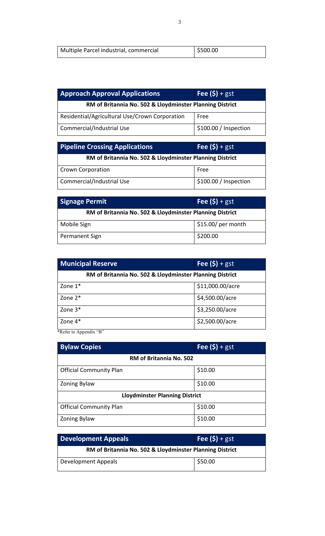| Multiple Parcel industrial, commercial | 5500.00 |  |
|----------------------------------------|---------|--|
|----------------------------------------|---------|--|

| <b>Approach Approval Applications</b>                    | Fee $(\$)$ + gst      |  |  |
|----------------------------------------------------------|-----------------------|--|--|
| RM of Britannia No. 502 & Lloydminster Planning District |                       |  |  |
| Residential/Agricultural Use/Crown Corporation           | Free                  |  |  |
| Commercial/Industrial Use                                | \$100.00 / Inspection |  |  |

| <b>Pipeline Crossing Applications</b>                    | Fee $(\$)$ + gst      |  |
|----------------------------------------------------------|-----------------------|--|
| RM of Britannia No. 502 & Lloydminster Planning District |                       |  |
| <b>Crown Corporation</b>                                 | Free                  |  |
| Commercial/Industrial Use                                | \$100.00 / Inspection |  |

| Signage Permit                                           | Fee $(\$)$ + gst    |  |
|----------------------------------------------------------|---------------------|--|
| RM of Britannia No. 502 & Lloydminster Planning District |                     |  |
| Mobile Sign                                              | $$15.00/$ per month |  |
| Permanent Sign                                           | \$200.00            |  |

| <b>Municipal Reserve</b>                                 | Fee $(\$)$ + gst |  |
|----------------------------------------------------------|------------------|--|
| RM of Britannia No. 502 & Lloydminster Planning District |                  |  |
| Zone $1^*$                                               | \$11,000.00/acre |  |
| Zone $2^*$                                               | \$4,500.00/acre  |  |
| Zone 3*                                                  | \$3,250.00/acre  |  |
| Zone 4*                                                  | \$2,500.00/acre  |  |

\*Refer to Appendix "B"

| <b>Bylaw Copies</b>                   | Fee $(\$)$ + gst |  |
|---------------------------------------|------------------|--|
| <b>RM of Britannia No. 502</b>        |                  |  |
| <b>Official Community Plan</b>        | \$10.00          |  |
| <b>Zoning Bylaw</b>                   | \$10.00          |  |
| <b>Lloydminster Planning District</b> |                  |  |
| <b>Official Community Plan</b>        | \$10.00          |  |
| Zoning Bylaw                          | \$10.00          |  |

| <b>Development Appeals</b>                               | Fee $(s)$ + gst |  |
|----------------------------------------------------------|-----------------|--|
| RM of Britannia No. 502 & Lloydminster Planning District |                 |  |
| Development Appeals                                      | \$50.00         |  |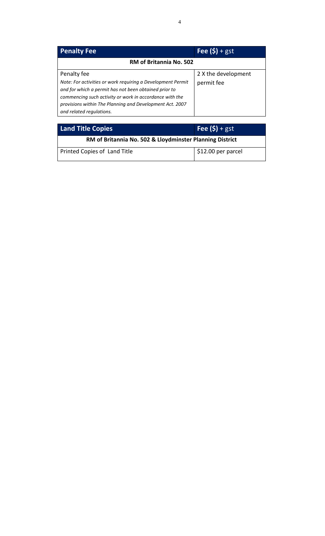| <b>Penalty Fee</b>                                                                                                                              | Fee $(\$)$ + gst    |
|-------------------------------------------------------------------------------------------------------------------------------------------------|---------------------|
| <b>RM of Britannia No. 502</b>                                                                                                                  |                     |
| Penalty fee                                                                                                                                     | 2 X the development |
| Note: For activities or work requiring a Development Permit<br>and for which a permit has not been obtained prior to                            | permit fee          |
| commencing such activity or work in accordance with the<br>provisions within The Planning and Development Act. 2007<br>and related regulations. |                     |

| <b>Land Title Copies</b>                                 | Fee $(\$)$ + gst                 |
|----------------------------------------------------------|----------------------------------|
| RM of Britannia No. 502 & Lloydminster Planning District |                                  |
| Printed Copies of Land Title                             | $\frac{1}{2}$ \$12.00 per parcel |